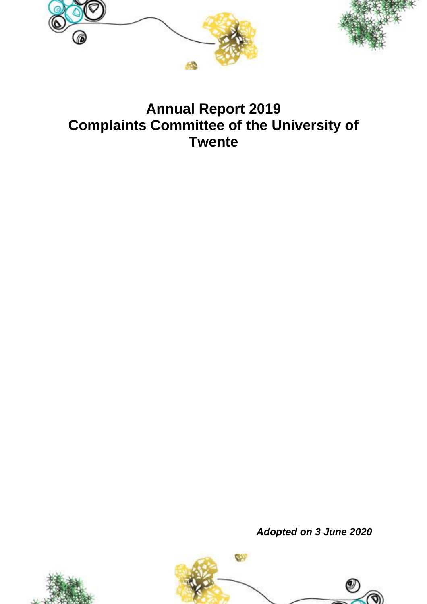



# **Annual Report 2019 Complaints Committee of the University of Twente**

*Adopted on 3 June 2020*



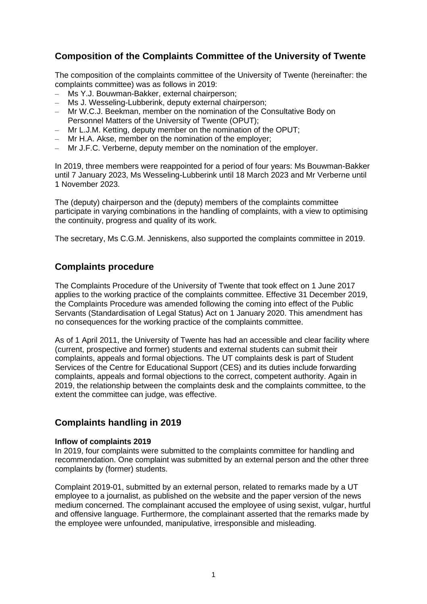## **Composition of the Complaints Committee of the University of Twente**

The composition of the complaints committee of the University of Twente (hereinafter: the complaints committee) was as follows in 2019:

- Ms Y.J. Bouwman-Bakker, external chairperson;
- Ms J. Wesseling-Lubberink, deputy external chairperson;
- Mr W.C.J. Beekman, member on the nomination of the Consultative Body on Personnel Matters of the University of Twente (OPUT);
- Mr L.J.M. Ketting, deputy member on the nomination of the OPUT;
- Mr H.A. Akse, member on the nomination of the employer;
- Mr J.F.C. Verberne, deputy member on the nomination of the employer.

In 2019, three members were reappointed for a period of four years: Ms Bouwman-Bakker until 7 January 2023, Ms Wesseling-Lubberink until 18 March 2023 and Mr Verberne until 1 November 2023.

The (deputy) chairperson and the (deputy) members of the complaints committee participate in varying combinations in the handling of complaints, with a view to optimising the continuity, progress and quality of its work.

The secretary, Ms C.G.M. Jenniskens, also supported the complaints committee in 2019.

### **Complaints procedure**

The Complaints Procedure of the University of Twente that took effect on 1 June 2017 applies to the working practice of the complaints committee. Effective 31 December 2019, the Complaints Procedure was amended following the coming into effect of the Public Servants (Standardisation of Legal Status) Act on 1 January 2020. This amendment has no consequences for the working practice of the complaints committee.

As of 1 April 2011, the University of Twente has had an accessible and clear facility where (current, prospective and former) students and external students can submit their complaints, appeals and formal objections. The UT complaints desk is part of Student Services of the Centre for Educational Support (CES) and its duties include forwarding complaints, appeals and formal objections to the correct, competent authority. Again in 2019, the relationship between the complaints desk and the complaints committee, to the extent the committee can judge, was effective.

## **Complaints handling in 2019**

#### **Inflow of complaints 2019**

In 2019, four complaints were submitted to the complaints committee for handling and recommendation. One complaint was submitted by an external person and the other three complaints by (former) students.

Complaint 2019-01, submitted by an external person, related to remarks made by a UT employee to a journalist, as published on the website and the paper version of the news medium concerned. The complainant accused the employee of using sexist, vulgar, hurtful and offensive language. Furthermore, the complainant asserted that the remarks made by the employee were unfounded, manipulative, irresponsible and misleading.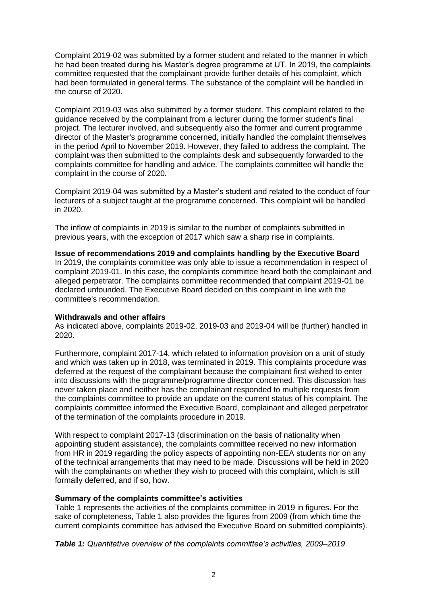Complaint 2019-02 was submitted by a former student and related to the manner in which he had been treated during his Master's degree programme at UT. In 2019, the complaints committee requested that the complainant provide further details of his complaint, which had been formulated in general terms. The substance of the complaint will be handled in the course of 2020.

Complaint 2019-03 was also submitted by a former student. This complaint related to the guidance received by the complainant from a lecturer during the former student's final project. The lecturer involved, and subsequently also the former and current programme director of the Master's programme concerned, initially handled the complaint themselves in the period April to November 2019. However, they failed to address the complaint. The complaint was then submitted to the complaints desk and subsequently forwarded to the complaints committee for handling and advice. The complaints committee will handle the complaint in the course of 2020.

Complaint 2019-04 was submitted by a Master's student and related to the conduct of four lecturers of a subject taught at the programme concerned. This complaint will be handled in 2020.

The inflow of complaints in 2019 is similar to the number of complaints submitted in previous years, with the exception of 2017 which saw a sharp rise in complaints.

#### **Issue of recommendations 2019 and complaints handling by the Executive Board**

In 2019, the complaints committee was only able to issue a recommendation in respect of complaint 2019-01. In this case, the complaints committee heard both the complainant and alleged perpetrator. The complaints committee recommended that complaint 2019-01 be declared unfounded. The Executive Board decided on this complaint in line with the committee's recommendation.

#### **Withdrawals and other affairs**

As indicated above, complaints 2019-02, 2019-03 and 2019-04 will be (further) handled in 2020.

Furthermore, complaint 2017-14, which related to information provision on a unit of study and which was taken up in 2018, was terminated in 2019. This complaints procedure was deferred at the request of the complainant because the complainant first wished to enter into discussions with the programme/programme director concerned. This discussion has never taken place and neither has the complainant responded to multiple requests from the complaints committee to provide an update on the current status of his complaint. The complaints committee informed the Executive Board, complainant and alleged perpetrator of the termination of the complaints procedure in 2019.

With respect to complaint 2017-13 (discrimination on the basis of nationality when appointing student assistance), the complaints committee received no new information from HR in 2019 regarding the policy aspects of appointing non-EEA students nor on any of the technical arrangements that may need to be made. Discussions will be held in 2020 with the complainants on whether they wish to proceed with this complaint, which is still formally deferred, and if so, how.

#### **Summary of the complaints committee's activities**

Table 1 represents the activities of the complaints committee in 2019 in figures. For the sake of completeness, Table 1 also provides the figures from 2009 (from which time the current complaints committee has advised the Executive Board on submitted complaints).

*Table 1: Quantitative overview of the complaints committee's activities, 2009–2019*